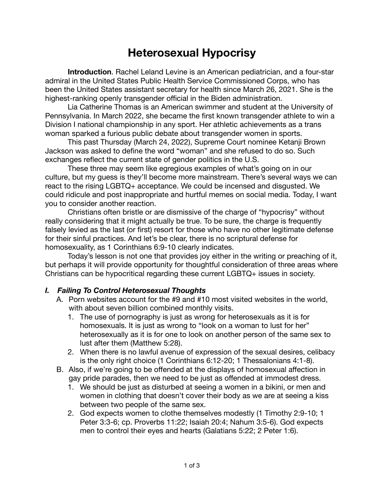# **Heterosexual Hypocrisy**

**Introduction**. Rachel Leland Levine is an American pediatrician, and a four-star admiral in the United States Public Health Service Commissioned Corps, who has been the United States assistant secretary for health since March 26, 2021. She is the highest-ranking openly transgender official in the Biden administration.

Lia Catherine Thomas is an American swimmer and student at the University of Pennsylvania. In March 2022, she became the first known transgender athlete to win a Division I national championship in any sport. Her athletic achievements as a trans woman sparked a furious public debate about transgender women in sports.

This past Thursday (March 24, 2022), Supreme Court nominee Ketanji Brown Jackson was asked to define the word "woman" and she refused to do so. Such exchanges reflect the current state of gender politics in the U.S.

These three may seem like egregious examples of what's going on in our culture, but my guess is they'll become more mainstream. There's several ways we can react to the rising LGBTQ+ acceptance. We could be incensed and disgusted. We could ridicule and post inappropriate and hurtful memes on social media. Today, I want you to consider another reaction.

Christians often bristle or are dismissive of the charge of "hypocrisy" without really considering that it might actually be true. To be sure, the charge is frequently falsely levied as the last (or first) resort for those who have no other legitimate defense for their sinful practices. And let's be clear, there is no scriptural defense for homosexuality, as 1 Corinthians 6:9-10 clearly indicates.

Today's lesson is not one that provides joy either in the writing or preaching of it, but perhaps it will provide opportunity for thoughtful consideration of three areas where Christians can be hypocritical regarding these current LGBTQ+ issues in society.

#### *I. Failing To Control Heterosexual Thoughts*

- A. Porn websites account for the #9 and #10 most visited websites in the world, with about seven billion combined monthly visits.
	- 1. The use of pornography is just as wrong for heterosexuals as it is for homosexuals. It is just as wrong to "look on a woman to lust for her" heterosexually as it is for one to look on another person of the same sex to lust after them (Matthew 5:28).
	- 2. When there is no lawful avenue of expression of the sexual desires, celibacy is the only right choice (1 Corinthians 6:12-20; 1 Thessalonians 4:1-8).
- B. Also, if we're going to be offended at the displays of homosexual affection in gay pride parades, then we need to be just as offended at immodest dress.
	- 1. We should be just as disturbed at seeing a women in a bikini, or men and women in clothing that doesn't cover their body as we are at seeing a kiss between two people of the same sex.
	- 2. God expects women to clothe themselves modestly (1 Timothy 2:9-10; 1 Peter 3:3-6; cp. Proverbs 11:22; Isaiah 20:4; Nahum 3:5-6). God expects men to control their eyes and hearts (Galatians 5:22; 2 Peter 1:6).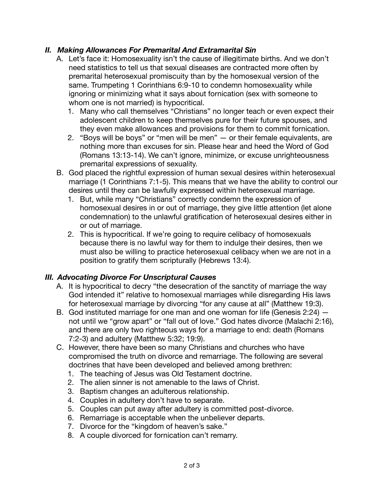### *II. Making Allowances For Premarital And Extramarital Sin*

- A. Let's face it: Homosexuality isn't the cause of illegitimate births. And we don't need statistics to tell us that sexual diseases are contracted more often by premarital heterosexual promiscuity than by the homosexual version of the same. Trumpeting 1 Corinthians 6:9-10 to condemn homosexuality while ignoring or minimizing what it says about fornication (sex with someone to whom one is not married) is hypocritical.
	- 1. Many who call themselves "Christians" no longer teach or even expect their adolescent children to keep themselves pure for their future spouses, and they even make allowances and provisions for them to commit fornication.
	- 2. "Boys will be boys" or "men will be men" or their female equivalents, are nothing more than excuses for sin. Please hear and heed the Word of God (Romans 13:13-14). We can't ignore, minimize, or excuse unrighteousness premarital expressions of sexuality.
- B. God placed the rightful expression of human sexual desires within heterosexual marriage (1 Corinthians 7:1-5). This means that we have the ability to control our desires until they can be lawfully expressed within heterosexual marriage.
	- 1. But, while many "Christians" correctly condemn the expression of homosexual desires in or out of marriage, they give little attention (let alone condemnation) to the unlawful gratification of heterosexual desires either in or out of marriage.
	- 2. This is hypocritical. If we're going to require celibacy of homosexuals because there is no lawful way for them to indulge their desires, then we must also be willing to practice heterosexual celibacy when we are not in a position to gratify them scripturally (Hebrews 13:4).

#### *III. Advocating Divorce For Unscriptural Causes*

- A. It is hypocritical to decry "the desecration of the sanctity of marriage the way God intended it" relative to homosexual marriages while disregarding His laws for heterosexual marriage by divorcing "for any cause at all" (Matthew 19:3).
- B. God instituted marriage for one man and one woman for life (Genesis 2:24) not until we "grow apart" or "fall out of love." God hates divorce (Malachi 2:16), and there are only two righteous ways for a marriage to end: death (Romans 7:2-3) and adultery (Matthew 5:32; 19:9).
- C. However, there have been so many Christians and churches who have compromised the truth on divorce and remarriage. The following are several doctrines that have been developed and believed among brethren:
	- 1. The teaching of Jesus was Old Testament doctrine.
	- 2. The alien sinner is not amenable to the laws of Christ.
	- 3. Baptism changes an adulterous relationship.
	- 4. Couples in adultery don't have to separate.
	- 5. Couples can put away after adultery is committed post-divorce.
	- 6. Remarriage is acceptable when the unbeliever departs.
	- 7. Divorce for the "kingdom of heaven's sake."
	- 8. A couple divorced for fornication can't remarry.